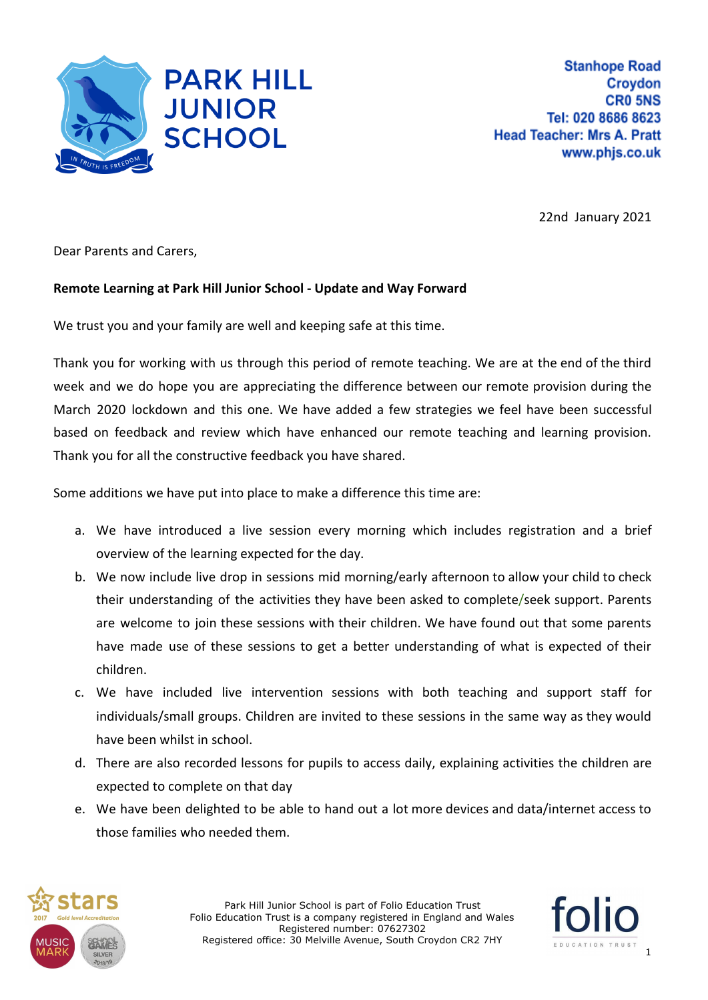

22nd January 2021

Dear Parents and Carers,

## **Remote Learning at Park Hill Junior School - Update and Way Forward**

We trust you and your family are well and keeping safe at this time.

Thank you for working with us through this period of remote teaching. We are at the end of the third week and we do hope you are appreciating the difference between our remote provision during the March 2020 lockdown and this one. We have added a few strategies we feel have been successful based on feedback and review which have enhanced our remote teaching and learning provision. Thank you for all the constructive feedback you have shared.

Some additions we have put into place to make a difference this time are:

- a. We have introduced a live session every morning which includes registration and a brief overview of the learning expected for the day.
- b. We now include live drop in sessions mid morning/early afternoon to allow your child to check their understanding of the activities they have been asked to complete/seek support. Parents are welcome to join these sessions with their children. We have found out that some parents have made use of these sessions to get a better understanding of what is expected of their children.
- c. We have included live intervention sessions with both teaching and support staff for individuals/small groups. Children are invited to these sessions in the same way as they would have been whilst in school.
- d. There are also recorded lessons for pupils to access daily, explaining activities the children are expected to complete on that day
- e. We have been delighted to be able to hand out a lot more devices and data/internet access to those families who needed them.



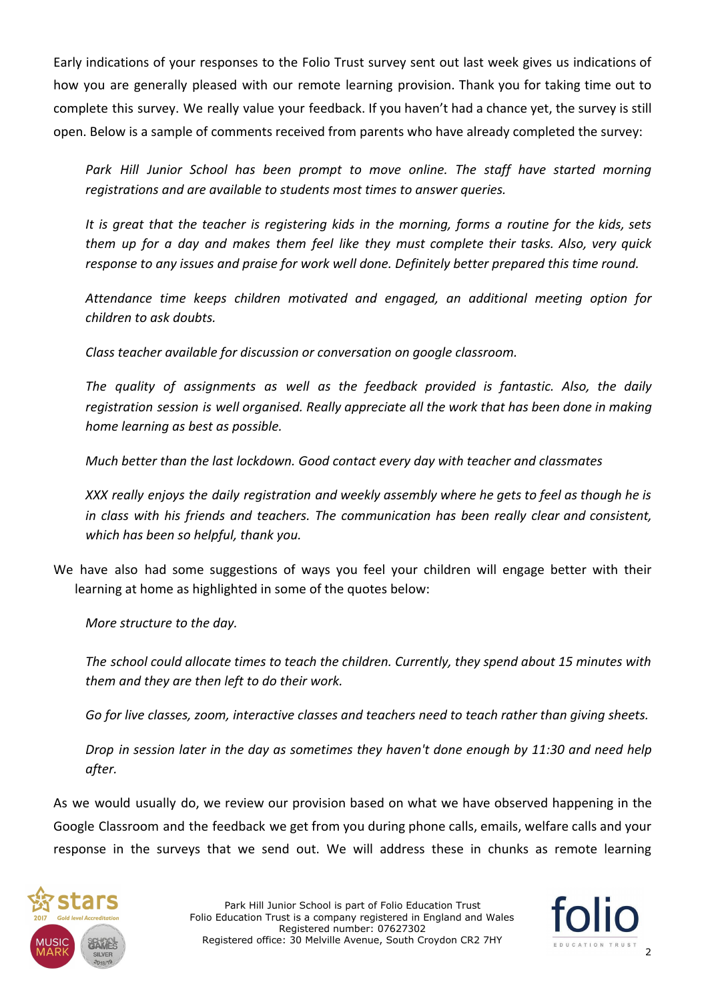Early indications of your responses to the Folio Trust survey sent out last week gives us indications of how you are generally pleased with our remote learning provision. Thank you for taking time out to complete this survey. We really value your feedback. If you haven't had a chance yet, the survey is still open. Below is a sample of comments received from parents who have already completed the survey:

*Park Hill Junior School has been prompt to move online. The staff have started morning registrations and are available to students most times to answer queries.*

It is great that the teacher is registering kids in the morning, forms a routine for the kids, sets *them up for a day and makes them feel like they must complete their tasks. Also, very quick response to any issues and praise for work well done. Definitely better prepared this time round.*

*Attendance time keeps children motivated and engaged, an additional meeting option for children to ask doubts.*

*Class teacher available for discussion or conversation on google classroom.*

*The quality of assignments as well as the feedback provided is fantastic. Also, the daily registration session is well organised. Really appreciate all the work that has been done in making home learning as best as possible.*

*Much better than the last lockdown. Good contact every day with teacher and classmates*

*XXX really enjoys the daily registration and weekly assembly where he gets to feel as though he is in class with his friends and teachers. The communication has been really clear and consistent, which has been so helpful, thank you.*

We have also had some suggestions of ways you feel your children will engage better with their learning at home as highlighted in some of the quotes below:

*More structure to the day.*

*The school could allocate times to teach the children. Currently, they spend about 15 minutes with them and they are then left to do their work.*

*Go for live classes, zoom, interactive classes and teachers need to teach rather than giving sheets.*

*Drop in session later in the day as sometimes they haven't done enough by 11:30 and need help after.*

As we would usually do, we review our provision based on what we have observed happening in the Google Classroom and the feedback we get from you during phone calls, emails, welfare calls and your response in the surveys that we send out. We will address these in chunks as remote learning



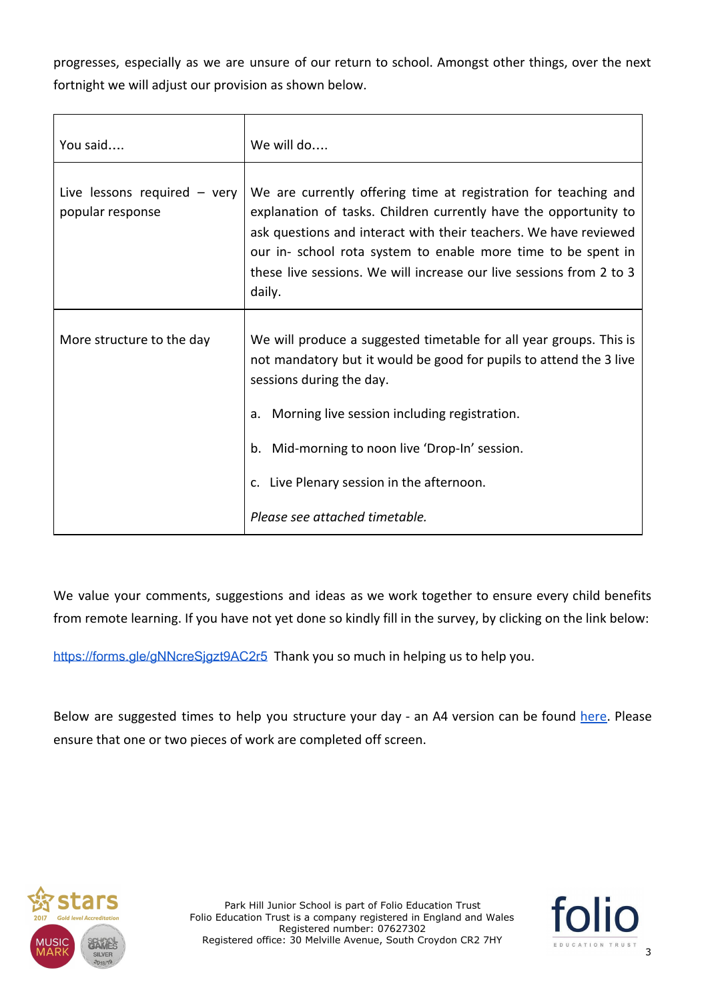progresses, especially as we are unsure of our return to school. Amongst other things, over the next fortnight we will adjust our provision as shown below.

| You said                                           | We will do                                                                                                                                                                                                                                                                                                                                                |
|----------------------------------------------------|-----------------------------------------------------------------------------------------------------------------------------------------------------------------------------------------------------------------------------------------------------------------------------------------------------------------------------------------------------------|
| Live lessons required $-$ very<br>popular response | We are currently offering time at registration for teaching and<br>explanation of tasks. Children currently have the opportunity to<br>ask questions and interact with their teachers. We have reviewed<br>our in- school rota system to enable more time to be spent in<br>these live sessions. We will increase our live sessions from 2 to 3<br>daily. |
| More structure to the day                          | We will produce a suggested timetable for all year groups. This is<br>not mandatory but it would be good for pupils to attend the 3 live<br>sessions during the day.<br>Morning live session including registration.<br>a.<br>b. Mid-morning to noon live 'Drop-In' session.<br>c. Live Plenary session in the afternoon.                                 |
|                                                    | Please see attached timetable.                                                                                                                                                                                                                                                                                                                            |

We value your comments, suggestions and ideas as we work together to ensure every child benefits from remote learning. If you have not yet done so kindly fill in the survey, by clicking on the link below:

<https://forms.gle/gNNcreSjgzt9AC2r5> Thank you so much in helping us to help you.

Below are suggested times to help you structure your day - an A4 version can be found [here](https://resources.finalsite.net/images/v1611323940/folioeducationcouk/ihwbrl2s5jclae9s9vpe/RemoteLearningTimetable-Jan2021.pdf). Please ensure that one or two pieces of work are completed off screen.